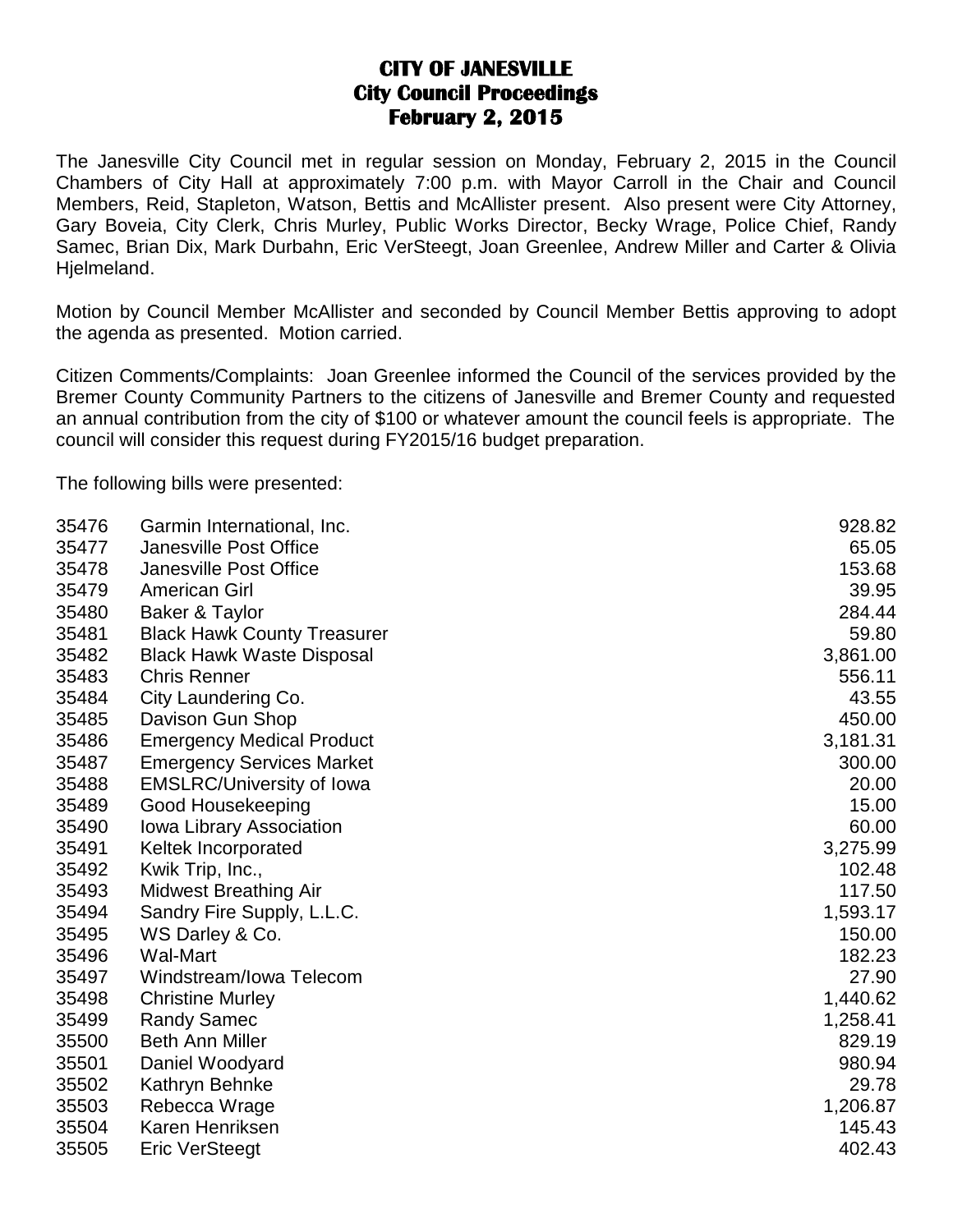## **CITY OF JANESVILLE City Council Proceedings February 2, 2015**

The Janesville City Council met in regular session on Monday, February 2, 2015 in the Council Chambers of City Hall at approximately 7:00 p.m. with Mayor Carroll in the Chair and Council Members, Reid, Stapleton, Watson, Bettis and McAllister present. Also present were City Attorney, Gary Boveia, City Clerk, Chris Murley, Public Works Director, Becky Wrage, Police Chief, Randy Samec, Brian Dix, Mark Durbahn, Eric VerSteegt, Joan Greenlee, Andrew Miller and Carter & Olivia Hjelmeland.

Motion by Council Member McAllister and seconded by Council Member Bettis approving to adopt the agenda as presented. Motion carried.

Citizen Comments/Complaints: Joan Greenlee informed the Council of the services provided by the Bremer County Community Partners to the citizens of Janesville and Bremer County and requested an annual contribution from the city of \$100 or whatever amount the council feels is appropriate. The council will consider this request during FY2015/16 budget preparation.

The following bills were presented:

| 35476 | Garmin International, Inc.         | 928.82   |
|-------|------------------------------------|----------|
| 35477 | <b>Janesville Post Office</b>      | 65.05    |
| 35478 | <b>Janesville Post Office</b>      | 153.68   |
| 35479 | <b>American Girl</b>               | 39.95    |
| 35480 | Baker & Taylor                     | 284.44   |
| 35481 | <b>Black Hawk County Treasurer</b> | 59.80    |
| 35482 | <b>Black Hawk Waste Disposal</b>   | 3,861.00 |
| 35483 | <b>Chris Renner</b>                | 556.11   |
| 35484 | City Laundering Co.                | 43.55    |
| 35485 | Davison Gun Shop                   | 450.00   |
| 35486 | <b>Emergency Medical Product</b>   | 3,181.31 |
| 35487 | <b>Emergency Services Market</b>   | 300.00   |
| 35488 | <b>EMSLRC/University of Iowa</b>   | 20.00    |
| 35489 | Good Housekeeping                  | 15.00    |
| 35490 | lowa Library Association           | 60.00    |
| 35491 | Keltek Incorporated                | 3,275.99 |
| 35492 | Kwik Trip, Inc.,                   | 102.48   |
| 35493 | <b>Midwest Breathing Air</b>       | 117.50   |
| 35494 | Sandry Fire Supply, L.L.C.         | 1,593.17 |
| 35495 | WS Darley & Co.                    | 150.00   |
| 35496 | <b>Wal-Mart</b>                    | 182.23   |
| 35497 | Windstream/Iowa Telecom            | 27.90    |
| 35498 | <b>Christine Murley</b>            | 1,440.62 |
| 35499 | <b>Randy Samec</b>                 | 1,258.41 |
| 35500 | <b>Beth Ann Miller</b>             | 829.19   |
| 35501 | Daniel Woodyard                    | 980.94   |
| 35502 | Kathryn Behnke                     | 29.78    |
| 35503 | Rebecca Wrage                      | 1,206.87 |
| 35504 | Karen Henriksen                    | 145.43   |
| 35505 | <b>Eric VerSteegt</b>              | 402.43   |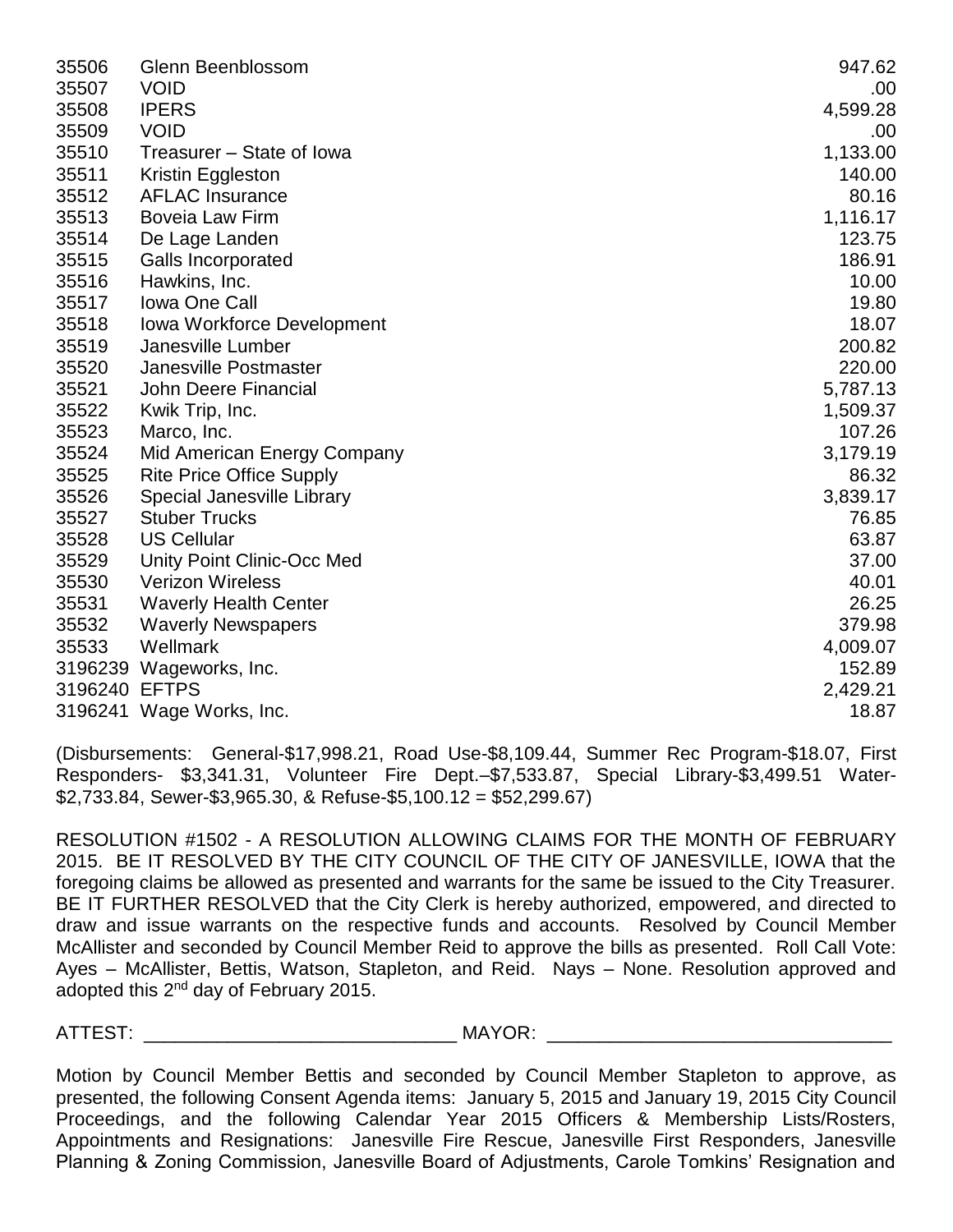| 35506         | Glenn Beenblossom                 | 947.62   |
|---------------|-----------------------------------|----------|
| 35507         | <b>VOID</b>                       | .00      |
| 35508         | <b>IPERS</b>                      | 4,599.28 |
| 35509         | <b>VOID</b>                       | .00      |
| 35510         | Treasurer – State of Iowa         | 1,133.00 |
| 35511         | Kristin Eggleston                 | 140.00   |
| 35512         | <b>AFLAC Insurance</b>            | 80.16    |
| 35513         | <b>Boveia Law Firm</b>            | 1,116.17 |
| 35514         | De Lage Landen                    | 123.75   |
| 35515         | <b>Galls Incorporated</b>         | 186.91   |
| 35516         | Hawkins, Inc.                     | 10.00    |
| 35517         | <b>Iowa One Call</b>              | 19.80    |
| 35518         | <b>Iowa Workforce Development</b> | 18.07    |
| 35519         | Janesville Lumber                 | 200.82   |
| 35520         | Janesville Postmaster             | 220.00   |
| 35521         | <b>John Deere Financial</b>       | 5,787.13 |
| 35522         | Kwik Trip, Inc.                   | 1,509.37 |
| 35523         | Marco, Inc.                       | 107.26   |
| 35524         | Mid American Energy Company       | 3,179.19 |
| 35525         | <b>Rite Price Office Supply</b>   | 86.32    |
| 35526         | Special Janesville Library        | 3,839.17 |
| 35527         | <b>Stuber Trucks</b>              | 76.85    |
| 35528         | <b>US Cellular</b>                | 63.87    |
| 35529         | Unity Point Clinic-Occ Med        | 37.00    |
| 35530         | <b>Verizon Wireless</b>           | 40.01    |
| 35531         | <b>Waverly Health Center</b>      | 26.25    |
| 35532         | <b>Waverly Newspapers</b>         | 379.98   |
| 35533         | Wellmark                          | 4,009.07 |
|               | 3196239 Wageworks, Inc.           | 152.89   |
| 3196240 EFTPS |                                   | 2,429.21 |
|               | 3196241 Wage Works, Inc.          | 18.87    |

(Disbursements: General-\$17,998.21, Road Use-\$8,109.44, Summer Rec Program-\$18.07, First Responders- \$3,341.31, Volunteer Fire Dept.–\$7,533.87, Special Library-\$3,499.51 Water- \$2,733.84, Sewer-\$3,965.30, & Refuse-\$5,100.12 = \$52,299.67)

RESOLUTION #1502 - A RESOLUTION ALLOWING CLAIMS FOR THE MONTH OF FEBRUARY 2015. BE IT RESOLVED BY THE CITY COUNCIL OF THE CITY OF JANESVILLE, IOWA that the foregoing claims be allowed as presented and warrants for the same be issued to the City Treasurer. BE IT FURTHER RESOLVED that the City Clerk is hereby authorized, empowered, and directed to draw and issue warrants on the respective funds and accounts. Resolved by Council Member McAllister and seconded by Council Member Reid to approve the bills as presented. Roll Call Vote: Ayes – McAllister, Bettis, Watson, Stapleton, and Reid. Nays – None. Resolution approved and adopted this 2<sup>nd</sup> day of February 2015.

ATTEST: THE MAYOR: THE MAYOR:

Motion by Council Member Bettis and seconded by Council Member Stapleton to approve, as presented, the following Consent Agenda items: January 5, 2015 and January 19, 2015 City Council Proceedings, and the following Calendar Year 2015 Officers & Membership Lists/Rosters, Appointments and Resignations: Janesville Fire Rescue, Janesville First Responders, Janesville Planning & Zoning Commission, Janesville Board of Adjustments, Carole Tomkins' Resignation and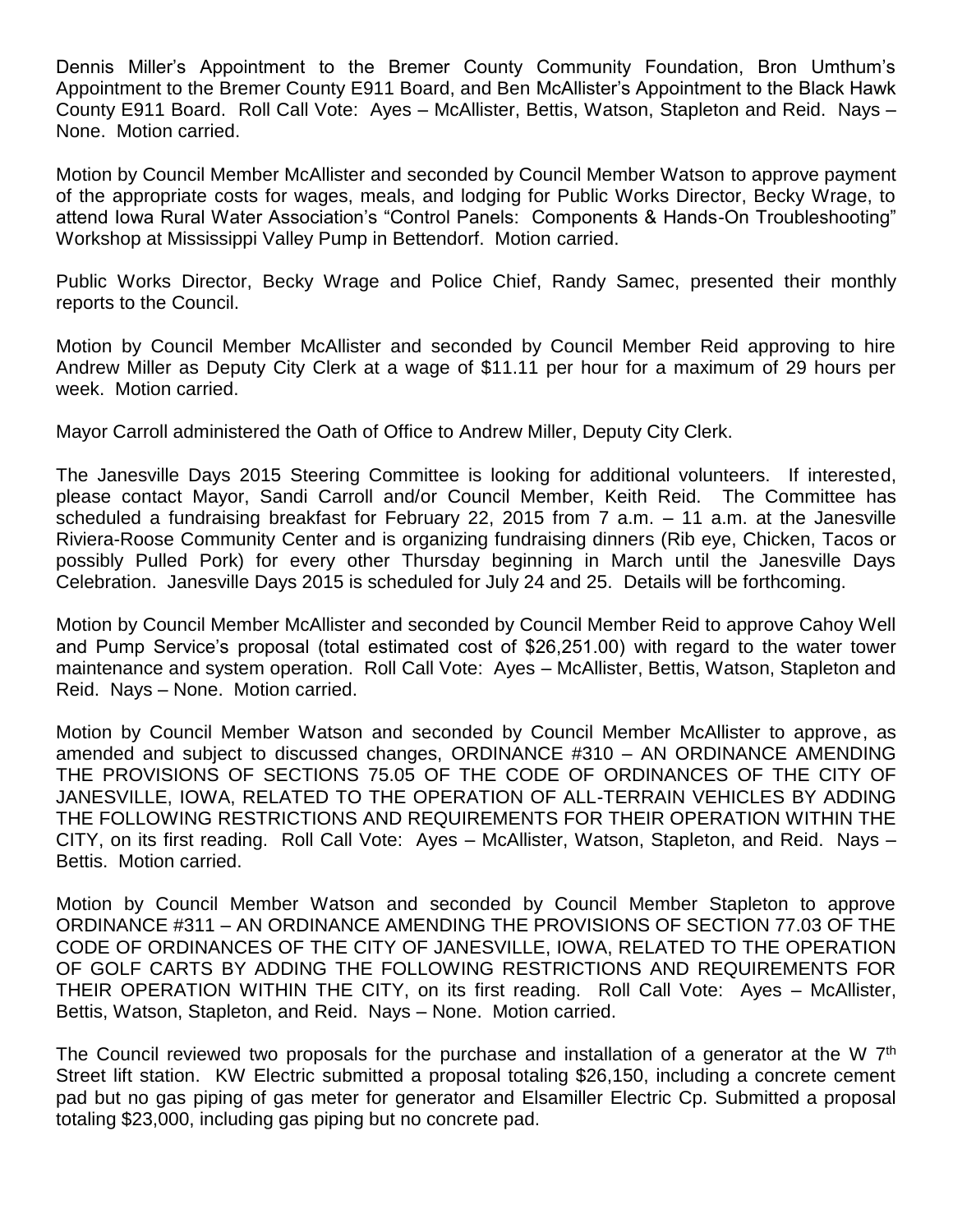Dennis Miller's Appointment to the Bremer County Community Foundation, Bron Umthum's Appointment to the Bremer County E911 Board, and Ben McAllister's Appointment to the Black Hawk County E911 Board. Roll Call Vote: Ayes – McAllister, Bettis, Watson, Stapleton and Reid. Nays – None. Motion carried.

Motion by Council Member McAllister and seconded by Council Member Watson to approve payment of the appropriate costs for wages, meals, and lodging for Public Works Director, Becky Wrage, to attend Iowa Rural Water Association's "Control Panels: Components & Hands-On Troubleshooting" Workshop at Mississippi Valley Pump in Bettendorf. Motion carried.

Public Works Director, Becky Wrage and Police Chief, Randy Samec, presented their monthly reports to the Council.

Motion by Council Member McAllister and seconded by Council Member Reid approving to hire Andrew Miller as Deputy City Clerk at a wage of \$11.11 per hour for a maximum of 29 hours per week. Motion carried.

Mayor Carroll administered the Oath of Office to Andrew Miller, Deputy City Clerk.

The Janesville Days 2015 Steering Committee is looking for additional volunteers. If interested, please contact Mayor, Sandi Carroll and/or Council Member, Keith Reid. The Committee has scheduled a fundraising breakfast for February 22, 2015 from 7 a.m. – 11 a.m. at the Janesville Riviera-Roose Community Center and is organizing fundraising dinners (Rib eye, Chicken, Tacos or possibly Pulled Pork) for every other Thursday beginning in March until the Janesville Days Celebration. Janesville Days 2015 is scheduled for July 24 and 25. Details will be forthcoming.

Motion by Council Member McAllister and seconded by Council Member Reid to approve Cahoy Well and Pump Service's proposal (total estimated cost of \$26,251.00) with regard to the water tower maintenance and system operation. Roll Call Vote: Ayes – McAllister, Bettis, Watson, Stapleton and Reid. Nays – None. Motion carried.

Motion by Council Member Watson and seconded by Council Member McAllister to approve, as amended and subject to discussed changes, ORDINANCE #310 – AN ORDINANCE AMENDING THE PROVISIONS OF SECTIONS 75.05 OF THE CODE OF ORDINANCES OF THE CITY OF JANESVILLE, IOWA, RELATED TO THE OPERATION OF ALL-TERRAIN VEHICLES BY ADDING THE FOLLOWING RESTRICTIONS AND REQUIREMENTS FOR THEIR OPERATION WITHIN THE CITY, on its first reading. Roll Call Vote: Ayes – McAllister, Watson, Stapleton, and Reid. Nays – Bettis. Motion carried.

Motion by Council Member Watson and seconded by Council Member Stapleton to approve ORDINANCE #311 – AN ORDINANCE AMENDING THE PROVISIONS OF SECTION 77.03 OF THE CODE OF ORDINANCES OF THE CITY OF JANESVILLE, IOWA, RELATED TO THE OPERATION OF GOLF CARTS BY ADDING THE FOLLOWING RESTRICTIONS AND REQUIREMENTS FOR THEIR OPERATION WITHIN THE CITY, on its first reading. Roll Call Vote: Ayes – McAllister, Bettis, Watson, Stapleton, and Reid. Nays – None. Motion carried.

The Council reviewed two proposals for the purchase and installation of a generator at the W 7<sup>th</sup> Street lift station. KW Electric submitted a proposal totaling \$26,150, including a concrete cement pad but no gas piping of gas meter for generator and Elsamiller Electric Cp. Submitted a proposal totaling \$23,000, including gas piping but no concrete pad.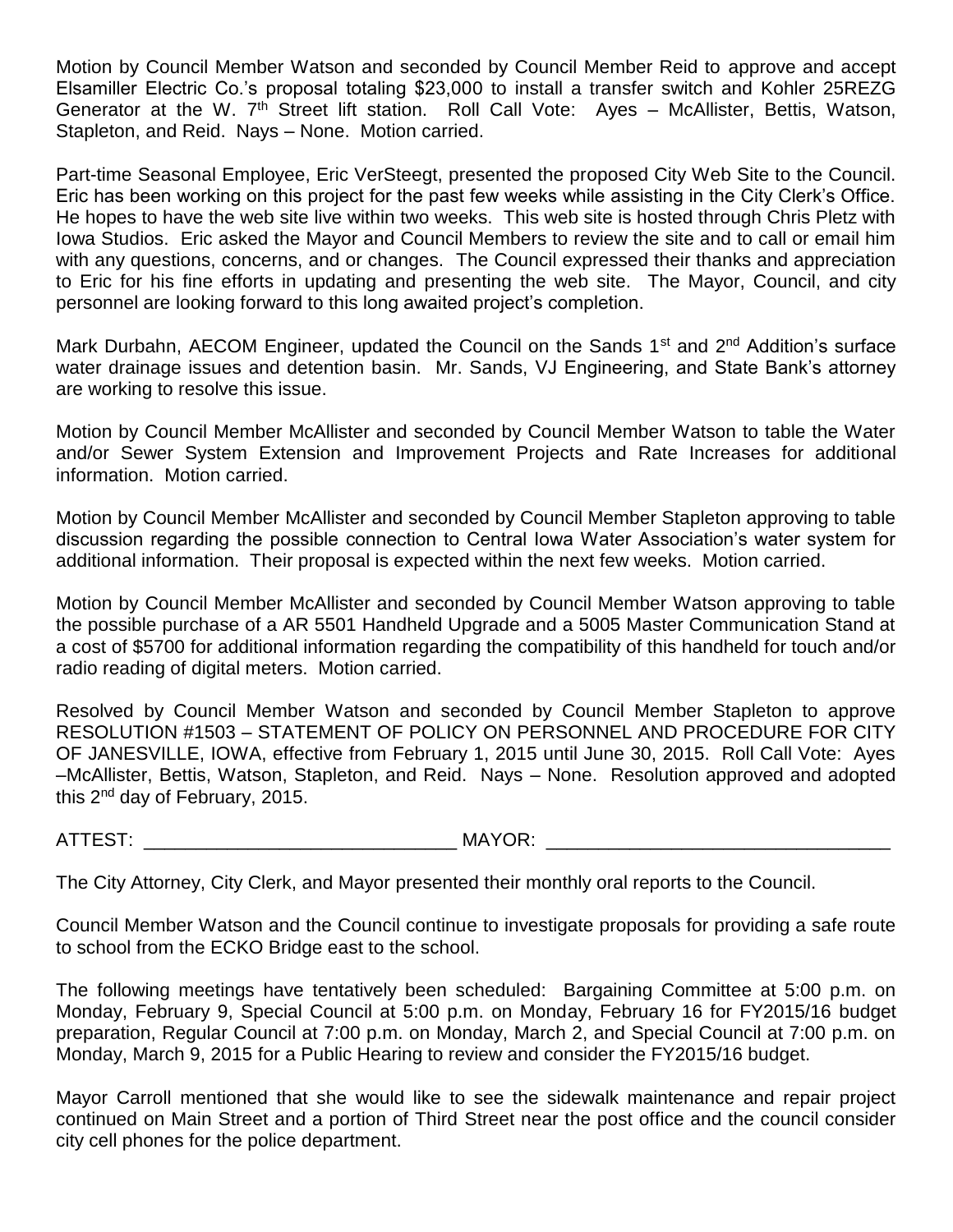Motion by Council Member Watson and seconded by Council Member Reid to approve and accept Elsamiller Electric Co.'s proposal totaling \$23,000 to install a transfer switch and Kohler 25REZG Generator at the W. 7<sup>th</sup> Street lift station. Roll Call Vote: Ayes - McAllister, Bettis, Watson, Stapleton, and Reid. Nays – None. Motion carried.

Part-time Seasonal Employee, Eric VerSteegt, presented the proposed City Web Site to the Council. Eric has been working on this project for the past few weeks while assisting in the City Clerk's Office. He hopes to have the web site live within two weeks. This web site is hosted through Chris Pletz with Iowa Studios. Eric asked the Mayor and Council Members to review the site and to call or email him with any questions, concerns, and or changes. The Council expressed their thanks and appreciation to Eric for his fine efforts in updating and presenting the web site. The Mayor, Council, and city personnel are looking forward to this long awaited project's completion.

Mark Durbahn, AECOM Engineer, updated the Council on the Sands 1<sup>st</sup> and 2<sup>nd</sup> Addition's surface water drainage issues and detention basin. Mr. Sands, VJ Engineering, and State Bank's attorney are working to resolve this issue.

Motion by Council Member McAllister and seconded by Council Member Watson to table the Water and/or Sewer System Extension and Improvement Projects and Rate Increases for additional information. Motion carried.

Motion by Council Member McAllister and seconded by Council Member Stapleton approving to table discussion regarding the possible connection to Central Iowa Water Association's water system for additional information. Their proposal is expected within the next few weeks. Motion carried.

Motion by Council Member McAllister and seconded by Council Member Watson approving to table the possible purchase of a AR 5501 Handheld Upgrade and a 5005 Master Communication Stand at a cost of \$5700 for additional information regarding the compatibility of this handheld for touch and/or radio reading of digital meters. Motion carried.

Resolved by Council Member Watson and seconded by Council Member Stapleton to approve RESOLUTION #1503 – STATEMENT OF POLICY ON PERSONNEL AND PROCEDURE FOR CITY OF JANESVILLE, IOWA, effective from February 1, 2015 until June 30, 2015. Roll Call Vote: Ayes –McAllister, Bettis, Watson, Stapleton, and Reid. Nays – None. Resolution approved and adopted this 2nd day of February, 2015.

ATTEST: THE MAYOR:

The City Attorney, City Clerk, and Mayor presented their monthly oral reports to the Council.

Council Member Watson and the Council continue to investigate proposals for providing a safe route to school from the ECKO Bridge east to the school.

The following meetings have tentatively been scheduled: Bargaining Committee at 5:00 p.m. on Monday, February 9, Special Council at 5:00 p.m. on Monday, February 16 for FY2015/16 budget preparation, Regular Council at 7:00 p.m. on Monday, March 2, and Special Council at 7:00 p.m. on Monday, March 9, 2015 for a Public Hearing to review and consider the FY2015/16 budget.

Mayor Carroll mentioned that she would like to see the sidewalk maintenance and repair project continued on Main Street and a portion of Third Street near the post office and the council consider city cell phones for the police department.